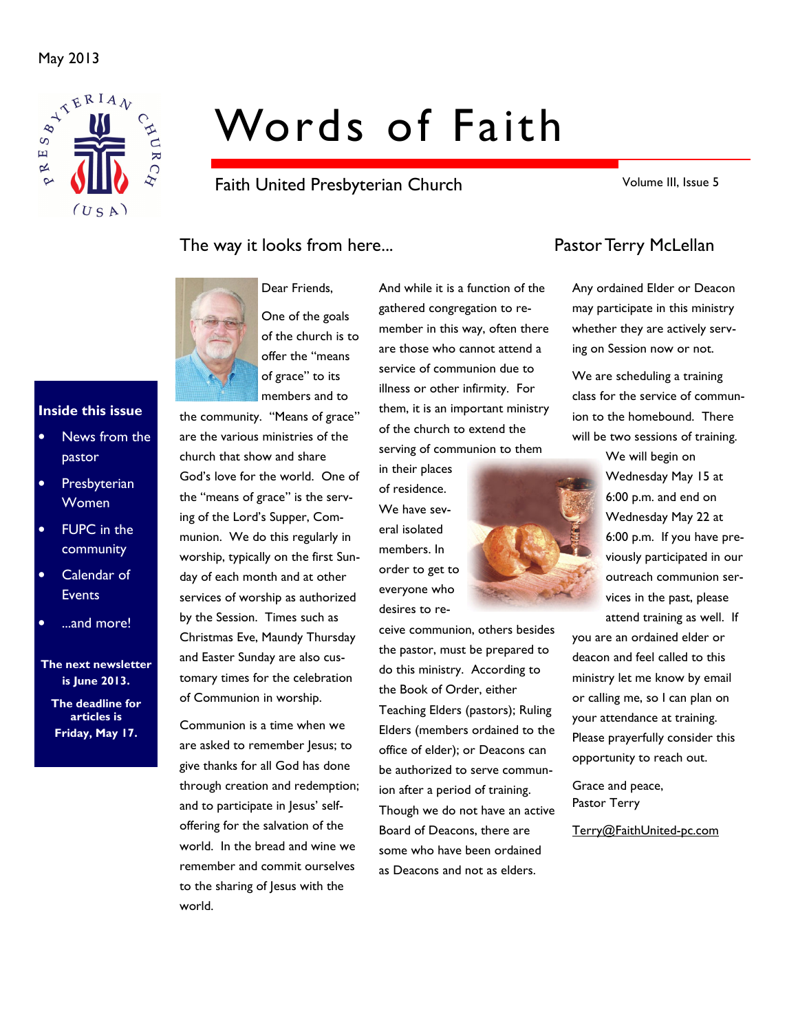

# Words of Faith

Faith United Presbyterian Church

Volume III, Issue 5

## The way it looks from here... The way it looks from here...



Dear Friends, One of the goals of the church is to offer the "means of grace" to its members and to

the community. "Means of grace" are the various ministries of the church that show and share God's love for the world. One of the "means of grace" is the serving of the Lord's Supper, Communion. We do this regularly in worship, typically on the first Sunday of each month and at other services of worship as authorized by the Session. Times such as Christmas Eve, Maundy Thursday and Easter Sunday are also customary times for the celebration of Communion in worship.

Communion is a time when we are asked to remember Jesus; to give thanks for all God has done through creation and redemption; and to participate in Jesus' selfoffering for the salvation of the world. In the bread and wine we remember and commit ourselves to the sharing of Jesus with the world.

And while it is a function of the gathered congregation to remember in this way, often there are those who cannot attend a service of communion due to illness or other infirmity. For them, it is an important ministry of the church to extend the serving of communion to them

in their places of residence. We have several isolated members. In order to get to everyone who desires to re-

ceive communion, others besides the pastor, must be prepared to do this ministry. According to the Book of Order, either Teaching Elders (pastors); Ruling Elders (members ordained to the office of elder); or Deacons can be authorized to serve communion after a period of training. Though we do not have an active Board of Deacons, there are some who have been ordained as Deacons and not as elders.

Any ordained Elder or Deacon may participate in this ministry whether they are actively serving on Session now or not.

We are scheduling a training class for the service of communion to the homebound. There will be two sessions of training.

We will begin on Wednesday May 15 at 6:00 p.m. and end on Wednesday May 22 at 6:00 p.m. If you have previously participated in our outreach communion services in the past, please attend training as well. If you are an ordained elder or

deacon and feel called to this ministry let me know by email or calling me, so I can plan on your attendance at training. Please prayerfully consider this opportunity to reach out.

Grace and peace, Pastor Terry

Terry@FaithUnited-pc.com

### Inside this issue

- News from the pastor
- **Presbyterian** Women
- **FUPC** in the community
- Calendar of **Events**
- ...and more!

The next newsletter is June 2013.

The deadline for articles is Friday, May 17.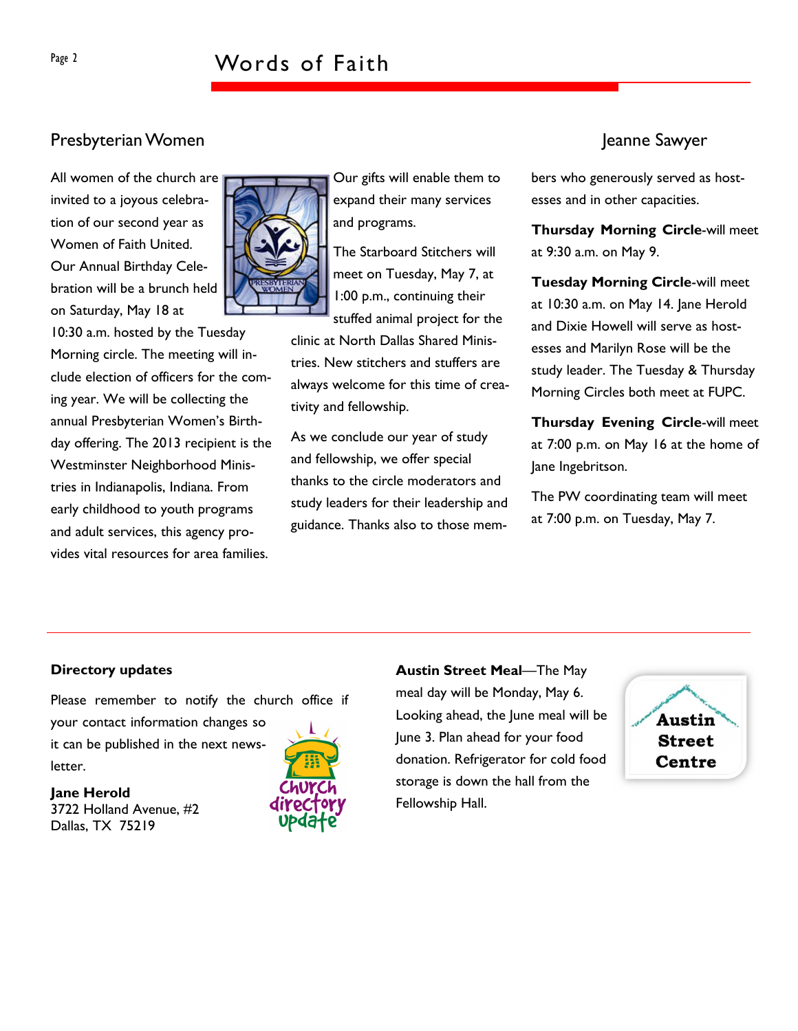## Page 2 Words of Faith

## Presbyterian Women Jeanne Sawyer

All women of the church are invited to a joyous celebration of our second year as Women of Faith United. Our Annual Birthday Celebration will be a brunch held on Saturday, May 18 at

10:30 a.m. hosted by the Tuesday Morning circle. The meeting will include election of officers for the coming year. We will be collecting the annual Presbyterian Women's Birthday offering. The 2013 recipient is the Westminster Neighborhood Ministries in Indianapolis, Indiana. From early childhood to youth programs and adult services, this agency provides vital resources for area families.



Our gifts will enable them to expand their many services and programs.

The Starboard Stitchers will meet on Tuesday, May 7, at 1:00 p.m., continuing their stuffed animal project for the

clinic at North Dallas Shared Ministries. New stitchers and stuffers are always welcome for this time of creativity and fellowship.

As we conclude our year of study and fellowship, we offer special thanks to the circle moderators and study leaders for their leadership and guidance. Thanks also to those mem-

bers who generously served as hostesses and in other capacities.

Thursday Morning Circle-will meet at 9:30 a.m. on May 9.

Tuesday Morning Circle-will meet at 10:30 a.m. on May 14. Jane Herold and Dixie Howell will serve as hostesses and Marilyn Rose will be the study leader. The Tuesday & Thursday Morning Circles both meet at FUPC.

Thursday Evening Circle-will meet at 7:00 p.m. on May 16 at the home of Jane Ingebritson.

The PW coordinating team will meet at 7:00 p.m. on Tuesday, May 7.

#### Directory updates

Please remember to notify the church office if your contact information changes so it can be published in the next newsletter.

#### Jane Herold

3722 Holland Avenue, #2 Dallas, TX 75219



Austin Street Meal—The May meal day will be Monday, May 6. Looking ahead, the June meal will be June 3. Plan ahead for your food donation. Refrigerator for cold food storage is down the hall from the Fellowship Hall.

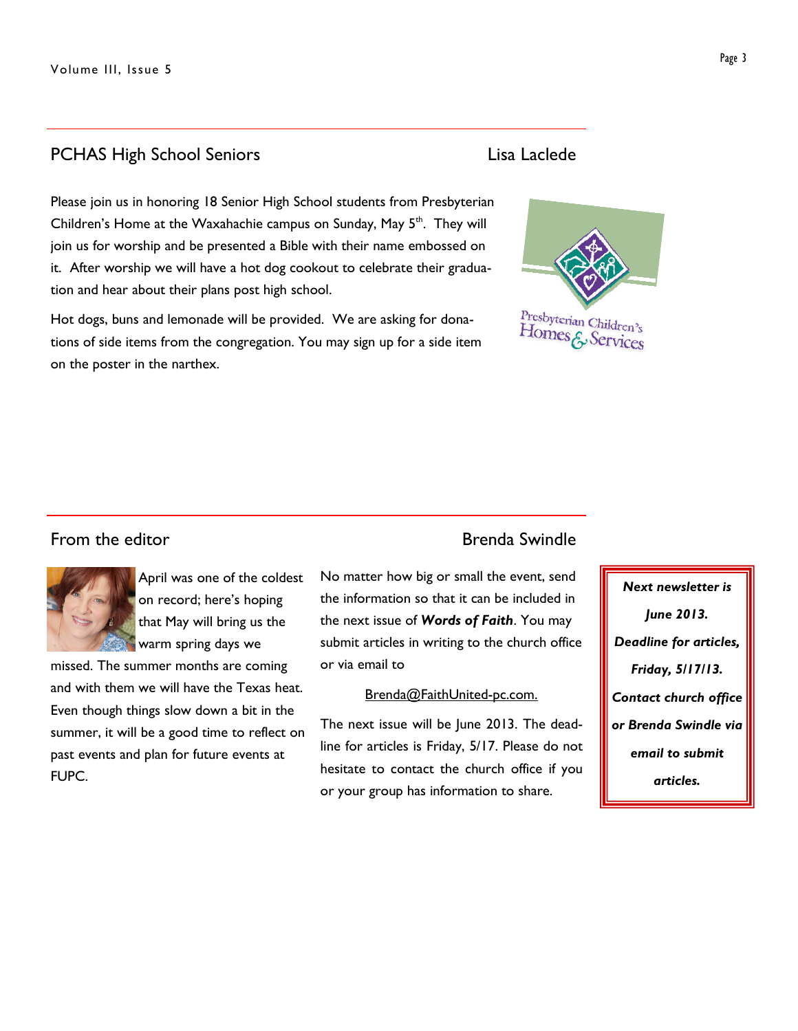## PCHAS High School Seniors **Lisa Laclede**

Please join us in honoring 18 Senior High School students from Presbyterian Children's Home at the Waxahachie campus on Sunday, May 5<sup>th</sup>. They will join us for worship and be presented a Bible with their name embossed on it. After worship we will have a hot dog cookout to celebrate their graduation and hear about their plans post high school.

Hot dogs, buns and lemonade will be provided. We are asking for donations of side items from the congregation. You may sign up for a side item on the poster in the narthex.



## From the editor **Brenda** Swindle



April was one of the coldest on record; here's hoping that May will bring us the warm spring days we

missed. The summer months are coming and with them we will have the Texas heat. Even though things slow down a bit in the summer, it will be a good time to reflect on past events and plan for future events at FUPC.

No matter how big or small the event, send the information so that it can be included in the next issue of Words of Faith. You may submit articles in writing to the church office or via email to

#### Brenda@FaithUnited-pc.com.

The next issue will be June 2013. The deadline for articles is Friday, 5/17. Please do not hesitate to contact the church office if you or your group has information to share.

# Next newsletter is

June 2013. Deadline for articles, Friday, 5/17/13. Contact church office or Brenda Swindle via email to submit articles.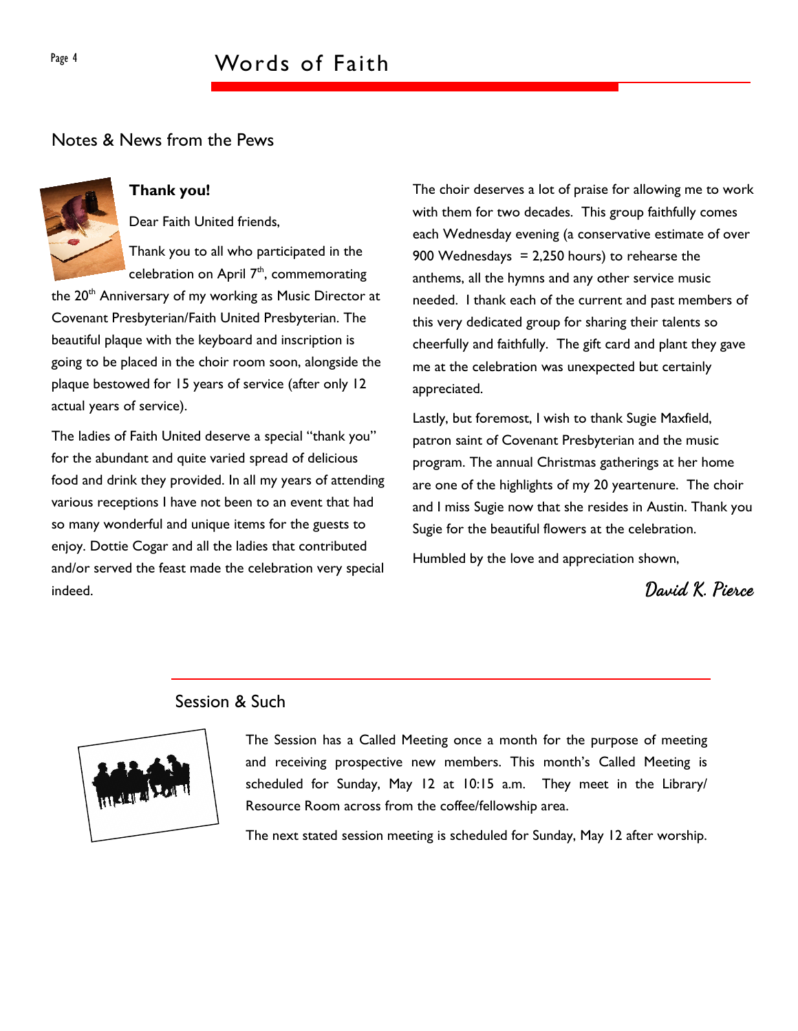### Notes & News from the Pews



#### Thank you!

Dear Faith United friends,

Thank you to all who participated in the celebration on April  $7<sup>th</sup>$ , commemorating

the 20<sup>th</sup> Anniversary of my working as Music Director at Covenant Presbyterian/Faith United Presbyterian. The beautiful plaque with the keyboard and inscription is going to be placed in the choir room soon, alongside the plaque bestowed for 15 years of service (after only 12 actual years of service).

The ladies of Faith United deserve a special "thank you" for the abundant and quite varied spread of delicious food and drink they provided. In all my years of attending various receptions I have not been to an event that had so many wonderful and unique items for the guests to enjoy. Dottie Cogar and all the ladies that contributed and/or served the feast made the celebration very special indeed.

The choir deserves a lot of praise for allowing me to work with them for two decades. This group faithfully comes each Wednesday evening (a conservative estimate of over 900 Wednesdays =  $2,250$  hours) to rehearse the anthems, all the hymns and any other service music needed. I thank each of the current and past members of this very dedicated group for sharing their talents so cheerfully and faithfully. The gift card and plant they gave me at the celebration was unexpected but certainly appreciated.

Lastly, but foremost, I wish to thank Sugie Maxfield, patron saint of Covenant Presbyterian and the music program. The annual Christmas gatherings at her home are one of the highlights of my 20 yeartenure. The choir and I miss Sugie now that she resides in Austin. Thank you Sugie for the beautiful flowers at the celebration.

Humbled by the love and appreciation shown,

David K. Pierce

## Session & Such



The Session has a Called Meeting once a month for the purpose of meeting and receiving prospective new members. This month's Called Meeting is scheduled for Sunday, May 12 at 10:15 a.m. They meet in the Library/ Resource Room across from the coffee/fellowship area.

The next stated session meeting is scheduled for Sunday, May 12 after worship.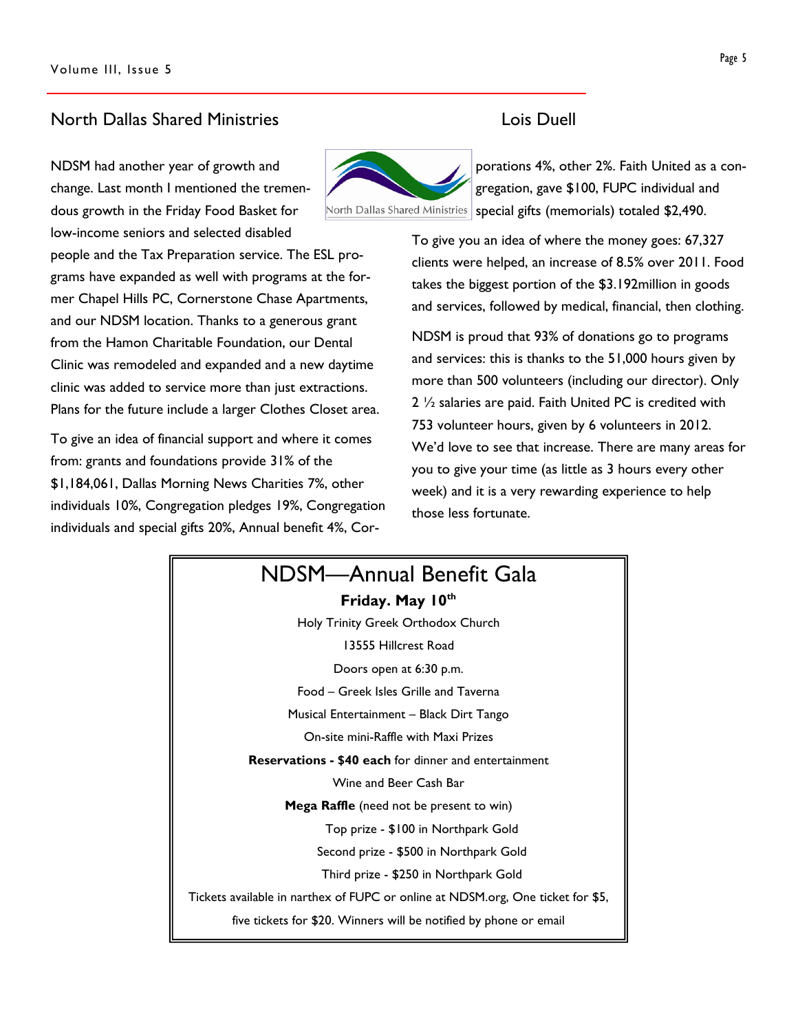#### North Dallas Shared Ministries Lois Duell

NDSM had another year of growth and change. Last month I mentioned the tremendous growth in the Friday Food Basket for low-income seniors and selected disabled

people and the Tax Preparation service. The ESL programs have expanded as well with programs at the former Chapel Hills PC, Cornerstone Chase Apartments, and our NDSM location. Thanks to a generous grant from the Hamon Charitable Foundation, our Dental Clinic was remodeled and expanded and a new daytime clinic was added to service more than just extractions. Plans for the future include a larger Clothes Closet area.

To give an idea of financial support and where it comes from: grants and foundations provide 31% of the \$1,184,061, Dallas Morning News Charities 7%, other individuals 10%, Congregation pledges 19%, Congregation individuals and special gifts 20%, Annual benefit 4%, Cor-



porations 4%, other 2%. Faith United as a congregation, gave \$100, FUPC individual and North Dallas Shared Ministries | special gifts (memorials) totaled \$2,490.

> To give you an idea of where the money goes: 67,327 clients were helped, an increase of 8.5% over 2011. Food takes the biggest portion of the \$3.192million in goods and services, followed by medical, financial, then clothing.

> NDSM is proud that 93% of donations go to programs and services: this is thanks to the 51,000 hours given by more than 500 volunteers (including our director). Only 2 ½ salaries are paid. Faith United PC is credited with 753 volunteer hours, given by 6 volunteers in 2012. We'd love to see that increase. There are many areas for you to give your time (as little as 3 hours every other week) and it is a very rewarding experience to help those less fortunate.

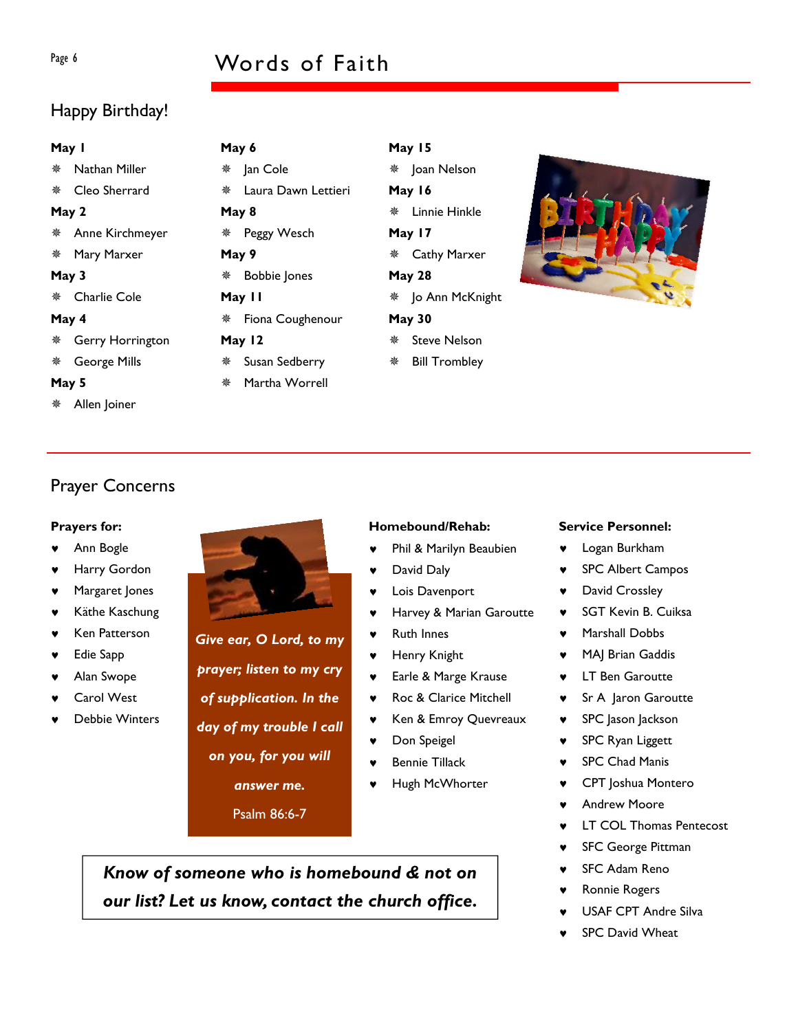## Page 6 Words of Faith

## Happy Birthday!

#### May 1

Nathan Miller

Cleo Sherrard

#### May 2

- Anne Kirchmeyer
- Mary Marxer

#### May 3

Charlie Cole

#### May 4

- Gerry Horrington
- George Mills

#### May 5

Allen Joiner

| May 6  |                                         |  |  |  |  |  |
|--------|-----------------------------------------|--|--|--|--|--|
|        | ※ Jan Cole                              |  |  |  |  |  |
|        | ※ Laura Dawn Lettieri                   |  |  |  |  |  |
| May 8  |                                         |  |  |  |  |  |
|        | ※ Peggy Wesch                           |  |  |  |  |  |
| May 9  |                                         |  |  |  |  |  |
| ※      | <b>Bobbie Jones</b>                     |  |  |  |  |  |
| May II |                                         |  |  |  |  |  |
|        | <b><i><b>※</b></i> Fiona Coughenour</b> |  |  |  |  |  |
| May 12 |                                         |  |  |  |  |  |
|        |                                         |  |  |  |  |  |

- Susan Sedberry
- Martha Worrell

## May 15 ※ Joan Nelson May 16 Linnie Hinkle May 17 Cathy Marxer May 28 Jo Ann McKnight May 30 Steve Nelson Bill Trombley



## Prayer Concerns

#### Prayers for:

- Ann Bogle
- Harry Gordon
- Margaret Jones
- ♥ Käthe Kaschung
- **Ken Patterson**
- ♥ Edie Sapp
- Alan Swope
- Carol West
- Debbie Winters



Give ear, O Lord, to my prayer; listen to my cry of supplication. In the day of my trouble I call on you, for you will answer me.

Psalm 86:6-7

#### Homebound/Rehab:

- ♥ Phil & Marilyn Beaubien
- David Daly
- Lois Davenport
- Harvey & Marian Garoutte
- ♥ Ruth Innes
- ♥ Henry Knight
- ♥ Earle & Marge Krause
- ♥ Roc & Clarice Mitchell
- ♥ Ken & Emroy Quevreaux
- ♥ Don Speigel
- Bennie Tillack
- Hugh McWhorter

Know of someone who is homebound & not on our list? Let us know, contact the church office.

#### Service Personnel:

- ♥ Logan Burkham
- ♥ SPC Albert Campos
- David Crossley
- **SGT Kevin B. Cuiksa**
- Marshall Dobbs
- ♥ MAJ Brian Gaddis
- **LT Ben Garoutte**
- ♥ Sr A Jaron Garoutte
- ♥ SPC Jason Jackson
- ♥ SPC Ryan Liggett
- ♥ SPC Chad Manis
- CPT Joshua Montero
- **Andrew Moore**
- **LT COL Thomas Pentecost**
- ♥ SFC George Pittman
- SFC Adam Reno
- **Ronnie Rogers**
- USAF CPT Andre Silva
- **SPC David Wheat**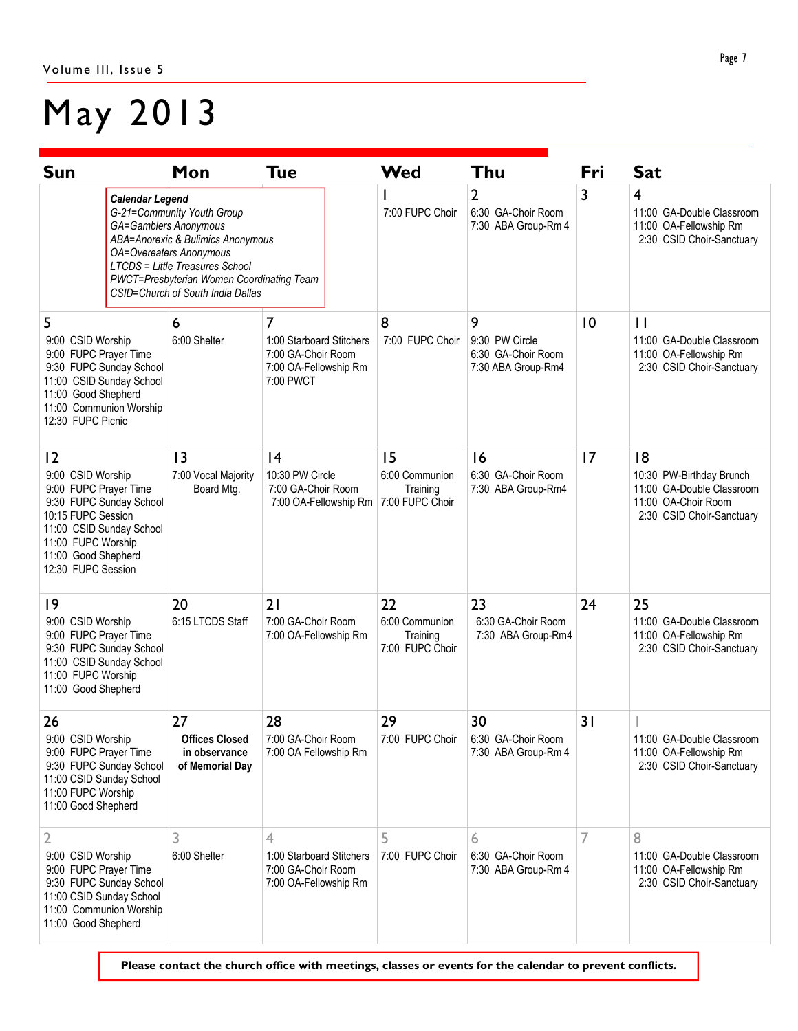## May 2013

| Sun                                                                                                                                                                                             |                                                                                                                                                                                                                                                                                         | Mon                                                      | <b>Tue</b>                                                                                | Wed                                                 | Thu                                                             | Fri         | <b>Sat</b>                                                                                                     |
|-------------------------------------------------------------------------------------------------------------------------------------------------------------------------------------------------|-----------------------------------------------------------------------------------------------------------------------------------------------------------------------------------------------------------------------------------------------------------------------------------------|----------------------------------------------------------|-------------------------------------------------------------------------------------------|-----------------------------------------------------|-----------------------------------------------------------------|-------------|----------------------------------------------------------------------------------------------------------------|
|                                                                                                                                                                                                 | <b>Calendar Legend</b><br>G-21=Community Youth Group<br><b>GA=Gamblers Anonymous</b><br>ABA=Anorexic & Bulimics Anonymous<br><b>OA=Overeaters Anonymous</b><br><b>LTCDS</b> = Little Treasures School<br>PWCT=Presbyterian Women Coordinating Team<br>CSID=Church of South India Dallas |                                                          |                                                                                           | 7:00 FUPC Choir                                     | $\overline{2}$<br>6:30 GA-Choir Room<br>7:30 ABA Group-Rm 4     | 3           | $\overline{4}$<br>11:00 GA-Double Classroom<br>11:00 OA-Fellowship Rm<br>2:30 CSID Choir-Sanctuary             |
| 5<br>9:00 CSID Worship<br>9:00 FUPC Prayer Time<br>9:30 FUPC Sunday School<br>11:00 CSID Sunday School<br>11:00 Good Shepherd<br>11:00 Communion Worship<br>12:30 FUPC Picnic                   |                                                                                                                                                                                                                                                                                         | 6<br>6:00 Shelter                                        | 7<br>1:00 Starboard Stitchers<br>7:00 GA-Choir Room<br>7:00 OA-Fellowship Rm<br>7:00 PWCT | 8<br>7:00 FUPC Choir                                | 9<br>9:30 PW Circle<br>6:30 GA-Choir Room<br>7:30 ABA Group-Rm4 | $ 0\rangle$ | $\mathbf{H}$<br>11:00 GA-Double Classroom<br>11:00 OA-Fellowship Rm<br>2:30 CSID Choir-Sanctuary               |
| 2<br>9:00 CSID Worship<br>9:00 FUPC Prayer Time<br>9:30 FUPC Sunday School<br>10:15 FUPC Session<br>11:00 CSID Sunday School<br>11:00 FUPC Worship<br>11:00 Good Shepherd<br>12:30 FUPC Session |                                                                                                                                                                                                                                                                                         | 3<br>7:00 Vocal Majority<br>Board Mtg.                   | 4<br>10:30 PW Circle<br>7:00 GA-Choir Room<br>7:00 OA-Fellowship Rm                       | 15<br>6:00 Communion<br>Training<br>7:00 FUPC Choir | 16<br>6:30 GA-Choir Room<br>7:30 ABA Group-Rm4                  | 7           | 8<br>10:30 PW-Birthday Brunch<br>11:00 GA-Double Classroom<br>11:00 OA-Choir Room<br>2:30 CSID Choir-Sanctuary |
| 9<br>9:00 CSID Worship<br>9:00 FUPC Prayer Time<br>9:30 FUPC Sunday School<br>11:00 CSID Sunday School<br>11:00 FUPC Worship<br>11:00 Good Shepherd                                             |                                                                                                                                                                                                                                                                                         | 20<br>6:15 LTCDS Staff                                   | 21<br>7:00 GA-Choir Room<br>7:00 OA-Fellowship Rm                                         | 22<br>6:00 Communion<br>Training<br>7:00 FUPC Choir | 23<br>6:30 GA-Choir Room<br>7:30 ABA Group-Rm4                  | 24          | 25<br>11:00 GA-Double Classroom<br>11:00 OA-Fellowship Rm<br>2:30 CSID Choir-Sanctuary                         |
| 26<br>9:00 CSID Worship<br>9:00 FUPC Prayer Time<br>9:30 FUPC Sunday School<br>11:00 CSID Sunday School<br>11:00 FUPC Worship<br>11:00 Good Shepherd                                            |                                                                                                                                                                                                                                                                                         | 27<br>Offices Closed<br>in observance<br>of Memorial Day | 28<br>7:00 GA-Choir Room<br>7:00 OA Fellowship Rm                                         | 29                                                  | 30<br>7:00 FUPC Choir 6:30 GA-Choir Room<br>7:30 ABA Group-Rm 4 | 31          | 11:00 GA-Double Classroom<br>11:00 OA-Fellowship Rm<br>2:30 CSID Choir-Sanctuary                               |
| 2<br>9:00 CSID Worship<br>9:00 FUPC Prayer Time<br>9:30 FUPC Sunday School<br>11:00 CSID Sunday School<br>11:00 Communion Worship<br>11:00 Good Shepherd                                        |                                                                                                                                                                                                                                                                                         | 3<br>6:00 Shelter                                        | 4<br>1:00 Starboard Stitchers<br>7:00 GA-Choir Room<br>7:00 OA-Fellowship Rm              | 5<br>7:00 FUPC Choir                                | 6<br>6:30 GA-Choir Room<br>7:30 ABA Group-Rm 4                  |             | 8<br>11:00 GA-Double Classroom<br>11:00 OA-Fellowship Rm<br>2:30 CSID Choir-Sanctuary                          |

Please contact the church office with meetings, classes or events for the calendar to prevent conflicts.